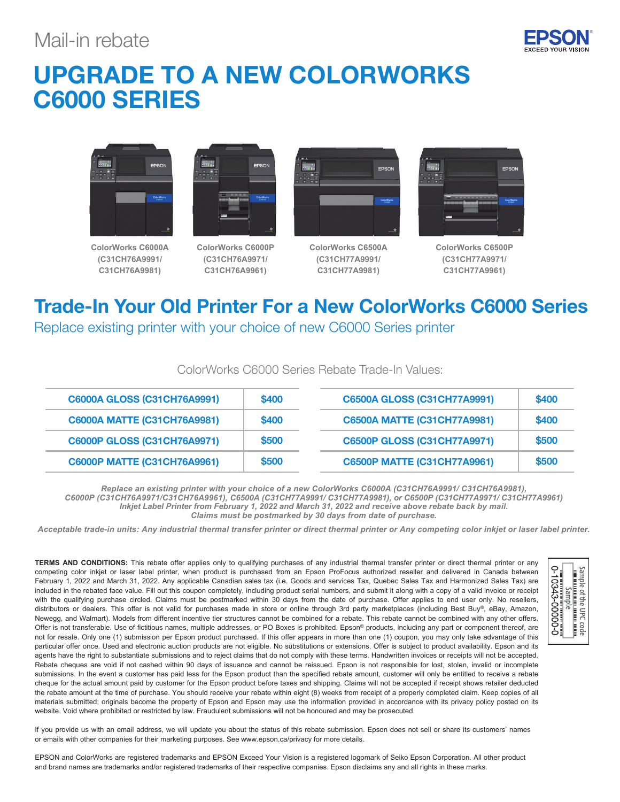### Mail-in rebate



## UPGRADE TO A NEW COLORWORKS C6000 SERIES



**ColorWorks C6000A (C31CH76A9991/ C31CH76A9981)**



**ColorWorks C6000P (C31CH76A9971/ C31CH76A9961)**



**ColorWorks C6500A (C31CH77A9991/ C31CH77A9981)**



**ColorWorks C6500P (C31CH77A9971/ C31CH77A9961)**

# Trade-In Your Old Printer For a New ColorWorks C6000 Series

Replace existing printer with your choice of new C6000 Series printer

| <b>C6000A GLOSS (C31CH76A9991)</b> | \$400 | C6500A GLOSS (C31CH77A9991)        | \$400 |  |
|------------------------------------|-------|------------------------------------|-------|--|
| <b>C6000A MATTE (C31CH76A9981)</b> | \$400 | <b>C6500A MATTE (C31CH77A9981)</b> | \$400 |  |
| <b>C6000P GLOSS (C31CH76A9971)</b> | \$500 | <b>C6500P GLOSS (C31CH77A9971)</b> | \$500 |  |
| <b>C6000P MATTE (C31CH76A9961)</b> | \$500 | <b>C6500P MATTE (C31CH77A9961)</b> | \$500 |  |

### ColorWorks C6000 Series Rebate Trade-In Values:

*Replace an existing printer with your choice of a new ColorWorks C6000A (C31CH76A9991/ C31CH76A9981), C6000P (C31CH76A9971/C31CH76A9961), C6500A (C31CH77A9991/ C31CH77A9981), or C6500P (C31CH77A9971/ C31CH77A9961) Inkjet Label Printer from February 1, 2022 and March 31, 2022 and receive above rebate back by mail. Claims must be postmarked by 30 days from date of purchase.*

*Acceptable trade-in units: Any industrial thermal transfer printer or direct thermal printer or Any competing color inkjet or laser label printer.*

**TERMS AND CONDITIONS:** This rebate offer applies only to qualifying purchases of any industrial thermal transfer printer or direct thermal printer or any competing color inkjet or laser label printer, when product is purchased from an Epson ProFocus authorized reseller and delivered in Canada between February 1, 2022 and March 31, 2022. Any applicable Canadian sales tax (i.e. Goods and services Tax, Quebec Sales Tax and Harmonized Sales Tax) are included in the rebated face value. Fill out this coupon completely, including product serial numbers, and submit it along with a copy of a valid invoice or receipt with the qualifying purchase circled. Claims must be postmarked within 30 days from the date of purchase. Offer applies to end user only. No resellers, distributors or dealers. This offer is not valid for purchases made in store or online through 3rd party marketplaces (including Best Buy®, eBay, Amazon, Newegg, and Walmart). Models from different incentive tier structures cannot be combined for a rebate. This rebate cannot be combined with any other offers. Offer is not transferable. Use of fictitious names, multiple addresses, or PO Boxes is prohibited. Epson® products, including any part or component thereof, are not for resale. Only one (1) submission per Epson product purchased. If this offer appears in more than one (1) coupon, you may only take advantage of this particular offer once. Used and electronic auction products are not eligible. No substitutions or extensions. Offer is subject to product availability. Epson and its agents have the right to substantiate submissions and to reject claims that do not comply with these terms. Handwritten invoices or receipts will not be accepted. Rebate cheques are void if not cashed within 90 days of issuance and cannot be reissued. Epson is not responsible for lost, stolen, invalid or incomplete submissions. In the event a customer has paid less for the Epson product than the specified rebate amount, customer will only be entitled to receive a rebate cheque for the actual amount paid by customer for the Epson product before taxes and shipping. Claims will not be accepted if receipt shows retailer deducted the rebate amount at the time of purchase. You should receive your rebate within eight (8) weeks from receipt of a properly completed claim. Keep copies of all materials submitted; originals become the property of Epson and Epson may use the information provided in accordance with its privacy policy posted on its website. Void where prohibited or restricted by law. Fraudulent submissions will not be honoured and may be prosecuted.



If you provide us with an email address, we will update you about the status of this rebate submission. Epson does not sell or share its customers' names or emails with other companies for their marketing purposes. See www.epson.ca/privacy for more details.

EPSON and ColorWorks are registered trademarks and EPSON Exceed Your Vision is a registered logomark of Seiko Epson Corporation. All other product and brand names are trademarks and/or registered trademarks of their respective companies. Epson disclaims any and all rights in these marks.